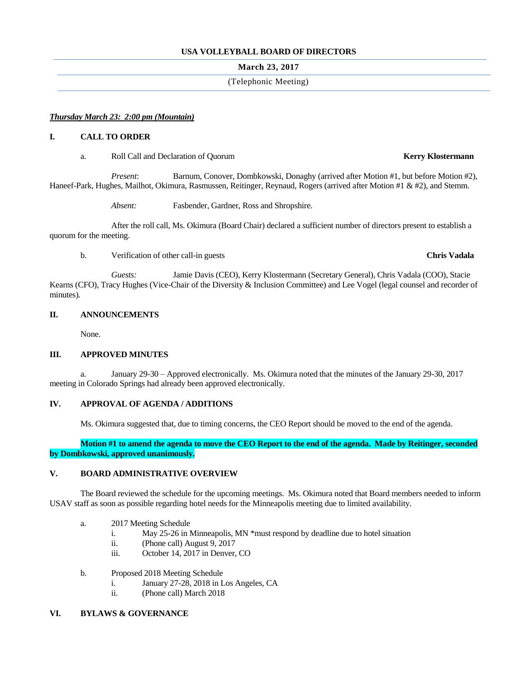## **USA VOLLEYBALL BOARD OF DIRECTORS**

### **March 23, 2017**

# (Telephonic Meeting)

### *Thursday March 23: 2:00 pm (Mountain)*

### **I. CALL TO ORDER**

a. Roll Call and Declaration of Quorum **Kerry Klostermann**

*Present*: Barnum, Conover, Dombkowski, Donaghy (arrived after Motion #1, but before Motion #2), Haneef-Park, Hughes, Mailhot, Okimura, Rasmussen, Reitinger, Reynaud, Rogers (arrived after Motion #1 & #2), and Stemm.

*Absent:* Fasbender, Gardner, Ross and Shropshire.

After the roll call, Ms. Okimura (Board Chair) declared a sufficient number of directors present to establish a quorum for the meeting.

b. Verification of other call-in guests **Chris Vadala**

*Guests:* Jamie Davis (CEO), Kerry Klostermann (Secretary General), Chris Vadala (COO), Stacie Kearns (CFO), Tracy Hughes (Vice-Chair of the Diversity & Inclusion Committee) and Lee Vogel (legal counsel and recorder of minutes)*.*

### **II. ANNOUNCEMENTS**

None.

### **III. APPROVED MINUTES**

a. January 29-30 – Approved electronically. Ms. Okimura noted that the minutes of the January 29-30, 2017 meeting in Colorado Springs had already been approved electronically.

### **IV. APPROVAL OF AGENDA / ADDITIONS**

Ms. Okimura suggested that, due to timing concerns, the CEO Report should be moved to the end of the agenda.

**Motion #1 to amend the agenda to move the CEO Report to the end of the agenda. Made by Reitinger, seconded by Dombkowski, approved unanimously.**

## **V. BOARD ADMINISTRATIVE OVERVIEW**

The Board reviewed the schedule for the upcoming meetings. Ms. Okimura noted that Board members needed to inform USAV staff as soon as possible regarding hotel needs for the Minneapolis meeting due to limited availability.

- a. 2017 Meeting Schedule
	- i. May 25-26 in Minneapolis, MN \*must respond by deadline due to hotel situation
	- ii. (Phone call) August 9, 2017
	- iii. October 14, 2017 in Denver, CO
- b. Proposed 2018 Meeting Schedule
	- i. January 27-28, 2018 in Los Angeles, CA
	- ii. (Phone call) March 2018

# **VI. BYLAWS & GOVERNANCE**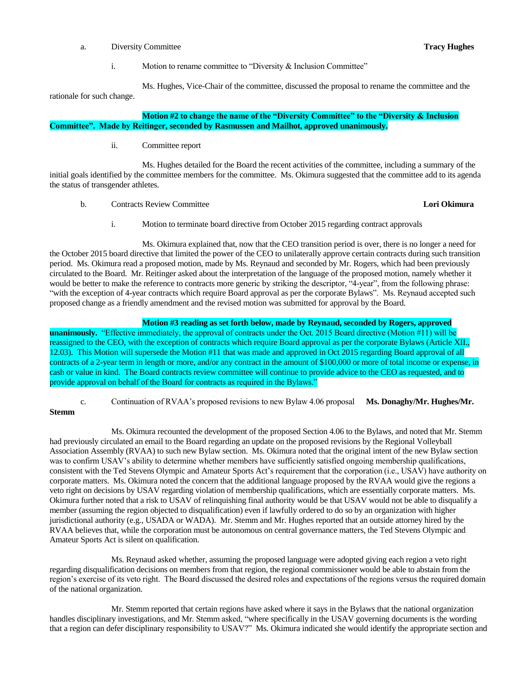a. Diversity Committee **Tracy Hughes**

i. Motion to rename committee to "Diversity & Inclusion Committee"

Ms. Hughes, Vice-Chair of the committee, discussed the proposal to rename the committee and the rationale for such change.

**Motion #2 to change the name of the "Diversity Committee" to the "Diversity & Inclusion Committee". Made by Reitinger, seconded by Rasmussen and Mailhot, approved unanimously.**

ii. Committee report

Ms. Hughes detailed for the Board the recent activities of the committee, including a summary of the initial goals identified by the committee members for the committee. Ms. Okimura suggested that the committee add to its agenda the status of transgender athletes.

b. Contracts Review Committee **Lori Okimura**

i. Motion to terminate board directive from October 2015 regarding contract approvals

Ms. Okimura explained that, now that the CEO transition period is over, there is no longer a need for the October 2015 board directive that limited the power of the CEO to unilaterally approve certain contracts during such transition period. Ms. Okimura read a proposed motion, made by Ms. Reynaud and seconded by Mr. Rogers, which had been previously circulated to the Board. Mr. Reitinger asked about the interpretation of the language of the proposed motion, namely whether it would be better to make the reference to contracts more generic by striking the descriptor, "4-year", from the following phrase: "with the exception of 4-year contracts which require Board approval as per the corporate Bylaws". Ms. Reynaud accepted such proposed change as a friendly amendment and the revised motion was submitted for approval by the Board.

# **Motion #3 reading as set forth below, made by Reynaud, seconded by Rogers, approved**

**unanimously.** "Effective immediately, the approval of contracts under the Oct. 2015 Board directive (Motion #11) will be reassigned to the CEO, with the exception of contracts which require Board approval as per the corporate Bylaws (Article XII., 12.03). This Motion will supersede the Motion #11 that was made and approved in Oct 2015 regarding Board approval of all contracts of a 2-year term in length or more, and/or any contract in the amount of \$100,000 or more of total income or expense, in cash or value in kind. The Board contracts review committee will continue to provide advice to the CEO as requested, and to provide approval on behalf of the Board for contracts as required in the Bylaws."

c. Continuation of RVAA's proposed revisions to new Bylaw 4.06 proposal **Ms. Donaghy/Mr. Hughes/Mr.** 

**Stemm**

Ms. Okimura recounted the development of the proposed Section 4.06 to the Bylaws, and noted that Mr. Stemm had previously circulated an email to the Board regarding an update on the proposed revisions by the Regional Volleyball Association Assembly (RVAA) to such new Bylaw section. Ms. Okimura noted that the original intent of the new Bylaw section was to confirm USAV's ability to determine whether members have sufficiently satisfied ongoing membership qualifications, consistent with the Ted Stevens Olympic and Amateur Sports Act's requirement that the corporation (i.e., USAV) have authority on corporate matters. Ms. Okimura noted the concern that the additional language proposed by the RVAA would give the regions a veto right on decisions by USAV regarding violation of membership qualifications, which are essentially corporate matters. Ms. Okimura further noted that a risk to USAV of relinquishing final authority would be that USAV would not be able to disqualify a member (assuming the region objected to disqualification) even if lawfully ordered to do so by an organization with higher jurisdictional authority (e.g., USADA or WADA). Mr. Stemm and Mr. Hughes reported that an outside attorney hired by the RVAA believes that, while the corporation must be autonomous on central governance matters, the Ted Stevens Olympic and Amateur Sports Act is silent on qualification.

Ms. Reynaud asked whether, assuming the proposed language were adopted giving each region a veto right regarding disqualification decisions on members from that region, the regional commissioner would be able to abstain from the region's exercise of its veto right. The Board discussed the desired roles and expectations of the regions versus the required domain of the national organization.

Mr. Stemm reported that certain regions have asked where it says in the Bylaws that the national organization handles disciplinary investigations, and Mr. Stemm asked, "where specifically in the USAV governing documents is the wording that a region can defer disciplinary responsibility to USAV?" Ms. Okimura indicated she would identify the appropriate section and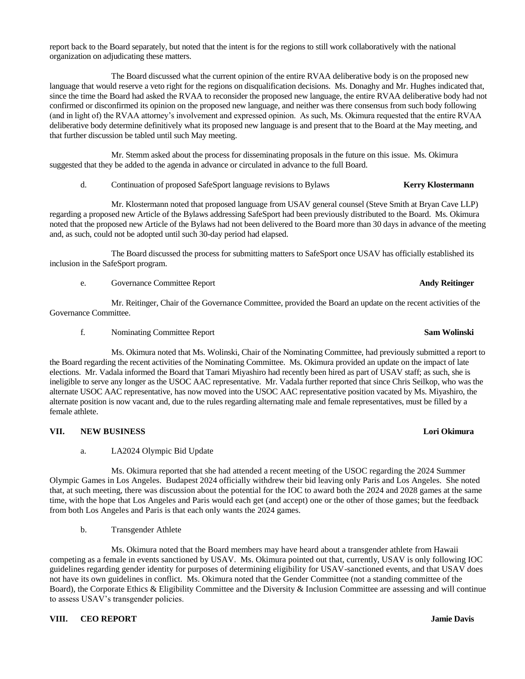report back to the Board separately, but noted that the intent is for the regions to still work collaboratively with the national organization on adjudicating these matters.

The Board discussed what the current opinion of the entire RVAA deliberative body is on the proposed new language that would reserve a veto right for the regions on disqualification decisions. Ms. Donaghy and Mr. Hughes indicated that, since the time the Board had asked the RVAA to reconsider the proposed new language, the entire RVAA deliberative body had not confirmed or disconfirmed its opinion on the proposed new language, and neither was there consensus from such body following (and in light of) the RVAA attorney's involvement and expressed opinion. As such, Ms. Okimura requested that the entire RVAA deliberative body determine definitively what its proposed new language is and present that to the Board at the May meeting, and that further discussion be tabled until such May meeting.

Mr. Stemm asked about the process for disseminating proposals in the future on this issue. Ms. Okimura suggested that they be added to the agenda in advance or circulated in advance to the full Board.

d. Continuation of proposed SafeSport language revisions to Bylaws **Kerry Klostermann**

Mr. Klostermann noted that proposed language from USAV general counsel (Steve Smith at Bryan Cave LLP) regarding a proposed new Article of the Bylaws addressing SafeSport had been previously distributed to the Board. Ms. Okimura noted that the proposed new Article of the Bylaws had not been delivered to the Board more than 30 days in advance of the meeting and, as such, could not be adopted until such 30-day period had elapsed.

The Board discussed the process for submitting matters to SafeSport once USAV has officially established its inclusion in the SafeSport program.

e. Governance Committee Report **Andy Reitinger**

Mr. Reitinger, Chair of the Governance Committee, provided the Board an update on the recent activities of the Governance Committee.

f. Nominating Committee Report **Sam Wolinski**

Ms. Okimura noted that Ms. Wolinski, Chair of the Nominating Committee, had previously submitted a report to the Board regarding the recent activities of the Nominating Committee. Ms. Okimura provided an update on the impact of late elections. Mr. Vadala informed the Board that Tamari Miyashiro had recently been hired as part of USAV staff; as such, she is ineligible to serve any longer as the USOC AAC representative. Mr. Vadala further reported that since Chris Seilkop, who was the alternate USOC AAC representative, has now moved into the USOC AAC representative position vacated by Ms. Miyashiro, the alternate position is now vacant and, due to the rules regarding alternating male and female representatives, must be filled by a female athlete.

## **VII. NEW BUSINESS Lori Okimura**

a. LA2024 Olympic Bid Update

Ms. Okimura reported that she had attended a recent meeting of the USOC regarding the 2024 Summer Olympic Games in Los Angeles. Budapest 2024 officially withdrew their bid leaving only Paris and Los Angeles. She noted that, at such meeting, there was discussion about the potential for the IOC to award both the 2024 and 2028 games at the same time, with the hope that Los Angeles and Paris would each get (and accept) one or the other of those games; but the feedback from both Los Angeles and Paris is that each only wants the 2024 games.

b. Transgender Athlete

Ms. Okimura noted that the Board members may have heard about a transgender athlete from Hawaii competing as a female in events sanctioned by USAV. Ms. Okimura pointed out that, currently, USAV is only following IOC guidelines regarding gender identity for purposes of determining eligibility for USAV-sanctioned events, and that USAV does not have its own guidelines in conflict. Ms. Okimura noted that the Gender Committee (not a standing committee of the Board), the Corporate Ethics & Eligibility Committee and the Diversity & Inclusion Committee are assessing and will continue to assess USAV's transgender policies.

# **VIII. CEO REPORT Jamie Davis**